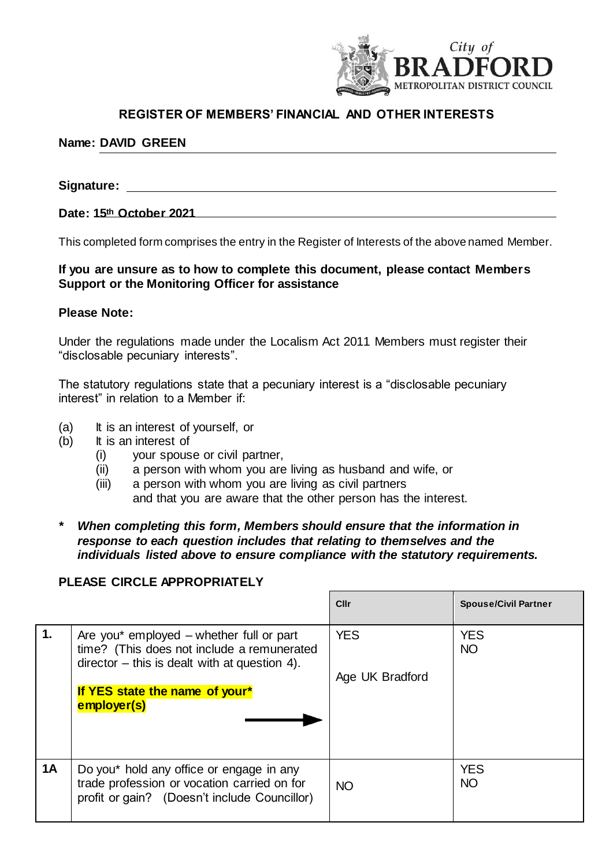

# **REGISTER OF MEMBERS' FINANCIAL AND OTHER INTERESTS**

## **Name: DAVID GREEN**

# **Signature:**

#### **Date: 15th October 2021**

This completed form comprises the entry in the Register of Interests of the above named Member.

### **If you are unsure as to how to complete this document, please contact Members Support or the Monitoring Officer for assistance**

#### **Please Note:**

Under the regulations made under the Localism Act 2011 Members must register their "disclosable pecuniary interests".

The statutory regulations state that a pecuniary interest is a "disclosable pecuniary interest" in relation to a Member if:

- (a) It is an interest of yourself, or
- (b) It is an interest of
	- (i) your spouse or civil partner,
	- (ii) a person with whom you are living as husband and wife, or
	- (iii) a person with whom you are living as civil partners and that you are aware that the other person has the interest.
- *\* When completing this form, Members should ensure that the information in response to each question includes that relating to themselves and the individuals listed above to ensure compliance with the statutory requirements.*

# **PLEASE CIRCLE APPROPRIATELY**

|           |                                                                                                                                           | Cllr                          | <b>Spouse/Civil Partner</b> |
|-----------|-------------------------------------------------------------------------------------------------------------------------------------------|-------------------------------|-----------------------------|
| 1.        | Are you* employed – whether full or part<br>time? (This does not include a remunerated<br>$director - this$ is dealt with at question 4). | <b>YES</b><br>Age UK Bradford | <b>YES</b><br><b>NO</b>     |
|           | If YES state the name of your*<br>employer(s)                                                                                             |                               |                             |
| <b>1A</b> | Do you* hold any office or engage in any<br>trade profession or vocation carried on for<br>profit or gain? (Doesn't include Councillor)   | <b>NO</b>                     | <b>YES</b><br><b>NO</b>     |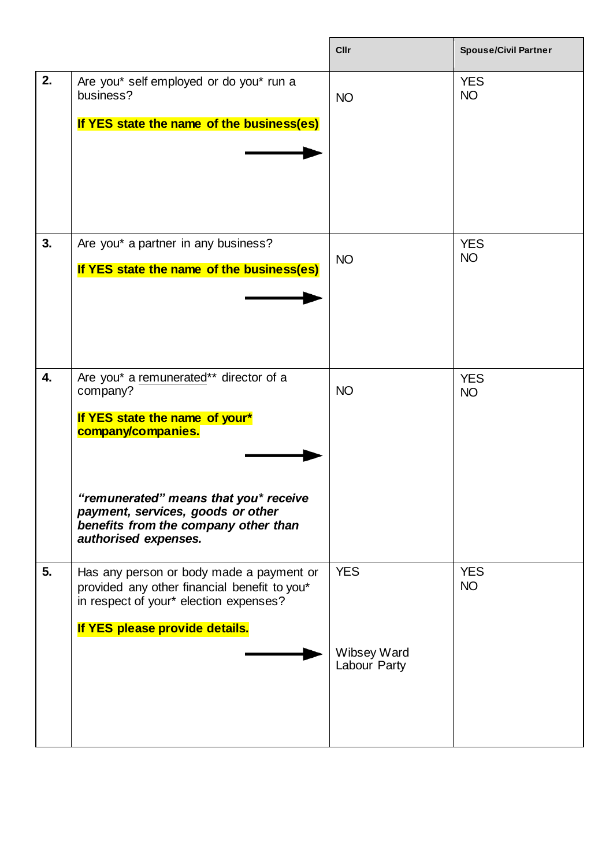|    |                                                                                                                                                                                                                                                          | <b>Cllr</b>                               | <b>Spouse/Civil Partner</b> |
|----|----------------------------------------------------------------------------------------------------------------------------------------------------------------------------------------------------------------------------------------------------------|-------------------------------------------|-----------------------------|
| 2. | Are you* self employed or do you* run a<br>business?<br>If YES state the name of the business(es)                                                                                                                                                        | <b>NO</b>                                 | <b>YES</b><br><b>NO</b>     |
| 3. | Are you* a partner in any business?<br>If YES state the name of the business(es)                                                                                                                                                                         | <b>NO</b>                                 | <b>YES</b><br><b>NO</b>     |
| 4. | Are you* a remunerated** director of a<br>company?<br>If YES state the name of your*<br>company/companies.<br>"remunerated" means that you* receive<br>payment, services, goods or other<br>benefits from the company other than<br>authorised expenses. | <b>NO</b>                                 | <b>YES</b><br><b>NO</b>     |
| 5. | Has any person or body made a payment or<br>provided any other financial benefit to you*<br>in respect of your* election expenses?<br>If YES please provide details.                                                                                     | <b>YES</b><br>Wibsey Ward<br>Labour Party | <b>YES</b><br><b>NO</b>     |

 $\mathbf{r}$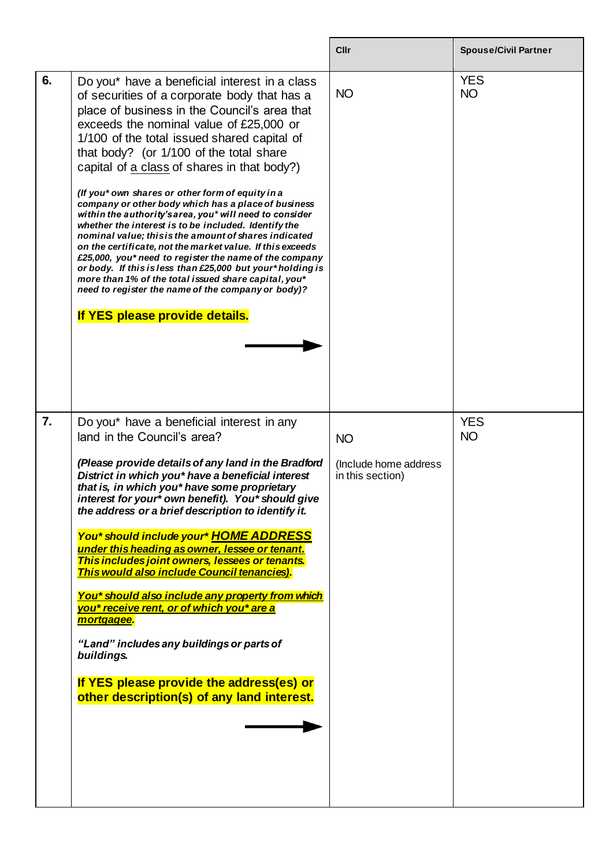|                  |                                                                                                                                                                                                                                                                                                                                                                                                                                                                                                                                                                                                                                                                                                                                                                                                                                                                                                                                                              | Cllr                                                   | <b>Spouse/Civil Partner</b> |
|------------------|--------------------------------------------------------------------------------------------------------------------------------------------------------------------------------------------------------------------------------------------------------------------------------------------------------------------------------------------------------------------------------------------------------------------------------------------------------------------------------------------------------------------------------------------------------------------------------------------------------------------------------------------------------------------------------------------------------------------------------------------------------------------------------------------------------------------------------------------------------------------------------------------------------------------------------------------------------------|--------------------------------------------------------|-----------------------------|
| 6.               | Do you* have a beneficial interest in a class<br>of securities of a corporate body that has a<br>place of business in the Council's area that<br>exceeds the nominal value of £25,000 or<br>1/100 of the total issued shared capital of<br>that body? (or 1/100 of the total share<br>capital of a class of shares in that body?)<br>(If you* own shares or other form of equity in a<br>company or other body which has a place of business<br>within the authority's area, you* will need to consider<br>whether the interest is to be included. Identify the<br>nominal value; this is the amount of shares indicated<br>on the certificate, not the market value. If this exceeds<br>£25,000, you* need to register the name of the company<br>or body. If this is less than £25,000 but your*holding is<br>more than 1% of the total issued share capital, you*<br>need to register the name of the company or body)?<br>If YES please provide details. | <b>NO</b>                                              | <b>YES</b><br><b>NO</b>     |
| $\overline{7}$ . | Do you* have a beneficial interest in any<br>land in the Council's area?<br>(Please provide details of any land in the Bradford<br>District in which you* have a beneficial interest<br>that is, in which you* have some proprietary<br>interest for your* own benefit). You* should give<br>the address or a brief description to identify it.<br>You* should include your* HOME ADDRESS<br>under this heading as owner, lessee or tenant.<br>This includes joint owners, lessees or tenants.<br>This would also include Council tenancies).<br>You* should also include any property from which<br>you* receive rent, or of which you* are a<br>mortgagee.<br>"Land" includes any buildings or parts of<br>buildings.<br>If YES please provide the address(es) or<br>other description(s) of any land interest.                                                                                                                                            | <b>NO</b><br>(Include home address<br>in this section) | <b>YES</b><br><b>NO</b>     |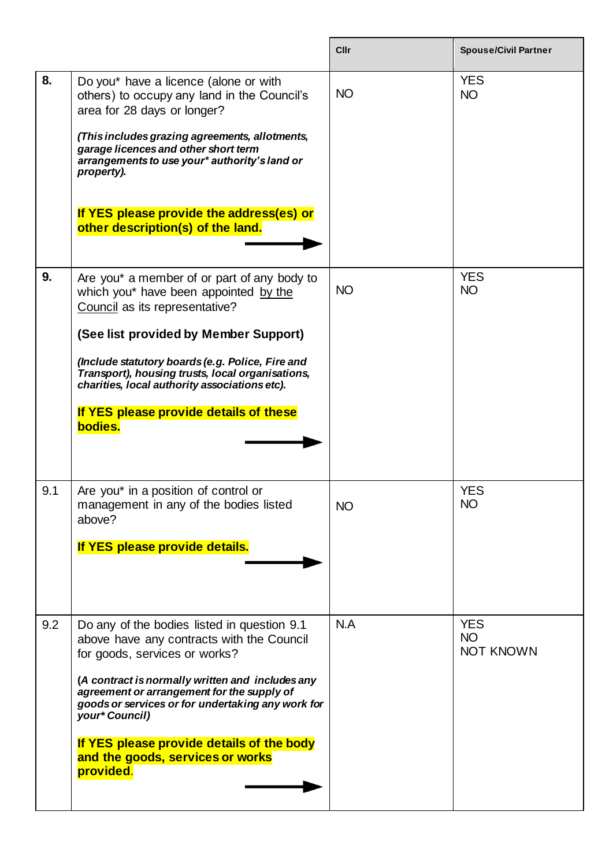|     |                                                                                                                                                                                                                                                                                                                                                                                                  | Cllr      | <b>Spouse/Civil Partner</b>                 |
|-----|--------------------------------------------------------------------------------------------------------------------------------------------------------------------------------------------------------------------------------------------------------------------------------------------------------------------------------------------------------------------------------------------------|-----------|---------------------------------------------|
| 8.  | Do you* have a licence (alone or with<br>others) to occupy any land in the Council's<br>area for 28 days or longer?<br>(This includes grazing agreements, allotments,<br>garage licences and other short term<br>arrangements to use your* authority's land or<br>property).<br>If YES please provide the address(es) or<br>other description(s) of the land.                                    | <b>NO</b> | <b>YES</b><br><b>NO</b>                     |
| 9.  | Are you* a member of or part of any body to<br>which you* have been appointed by the<br>Council as its representative?<br>(See list provided by Member Support)<br>(Include statutory boards (e.g. Police, Fire and<br>Transport), housing trusts, local organisations,<br>charities, local authority associations etc).<br>If YES please provide details of these<br>bodies.                    | <b>NO</b> | <b>YES</b><br><b>NO</b>                     |
| 9.1 | Are you* in a position of control or<br>management in any of the bodies listed<br>above?<br>If YES please provide details.                                                                                                                                                                                                                                                                       | NO        | <b>YES</b><br><b>NO</b>                     |
| 9.2 | Do any of the bodies listed in question 9.1<br>above have any contracts with the Council<br>for goods, services or works?<br>(A contract is normally written and includes any<br>agreement or arrangement for the supply of<br>goods or services or for undertaking any work for<br>your* Council)<br>If YES please provide details of the body<br>and the goods, services or works<br>provided. | N.A       | <b>YES</b><br><b>NO</b><br><b>NOT KNOWN</b> |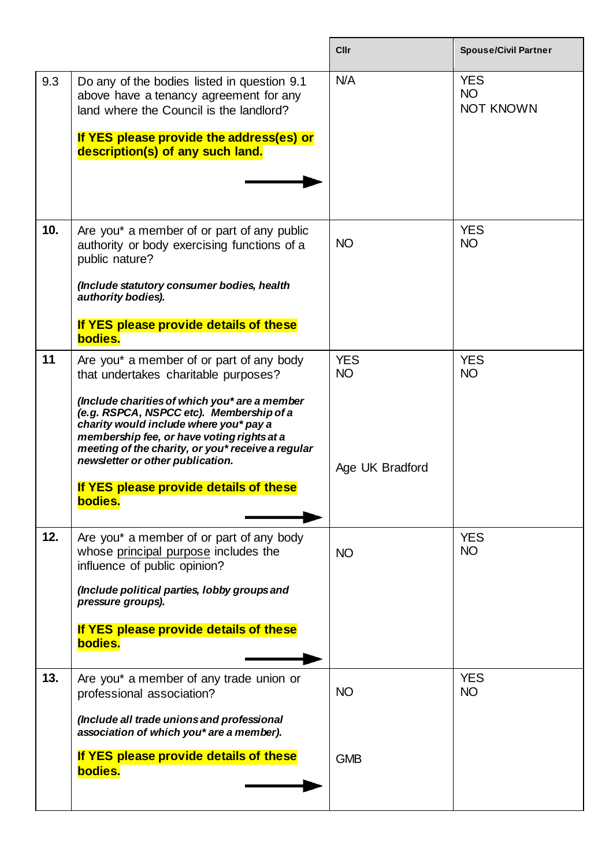|     |                                                                                                                                                                                                                                                                                                                                                                                                                     | Cllr                                       | <b>Spouse/Civil Partner</b>                 |
|-----|---------------------------------------------------------------------------------------------------------------------------------------------------------------------------------------------------------------------------------------------------------------------------------------------------------------------------------------------------------------------------------------------------------------------|--------------------------------------------|---------------------------------------------|
| 9.3 | Do any of the bodies listed in question 9.1<br>above have a tenancy agreement for any<br>land where the Council is the landlord?<br>If YES please provide the address(es) or<br>description(s) of any such land.                                                                                                                                                                                                    | N/A                                        | <b>YES</b><br><b>NO</b><br><b>NOT KNOWN</b> |
| 10. | Are you* a member of or part of any public<br>authority or body exercising functions of a<br>public nature?<br>(Include statutory consumer bodies, health<br>authority bodies).<br>If YES please provide details of these<br>bodies.                                                                                                                                                                                | <b>NO</b>                                  | <b>YES</b><br><b>NO</b>                     |
| 11  | Are you* a member of or part of any body<br>that undertakes charitable purposes?<br>(Include charities of which you* are a member<br>(e.g. RSPCA, NSPCC etc). Membership of a<br>charity would include where you* pay a<br>membership fee, or have voting rights at a<br>meeting of the charity, or you* receive a regular<br>newsletter or other publication.<br>If YES please provide details of these<br>bodies. | <b>YES</b><br><b>NO</b><br>Age UK Bradford | <b>YES</b><br><b>NO</b>                     |
| 12. | Are you* a member of or part of any body<br>whose principal purpose includes the<br>influence of public opinion?<br>(Include political parties, lobby groups and<br>pressure groups).<br>If YES please provide details of these<br>bodies.                                                                                                                                                                          | <b>NO</b>                                  | <b>YES</b><br><b>NO</b>                     |
| 13. | Are you* a member of any trade union or<br>professional association?<br>(Include all trade unions and professional<br>association of which you* are a member).<br>If YES please provide details of these<br>bodies.                                                                                                                                                                                                 | <b>NO</b><br><b>GMB</b>                    | <b>YES</b><br><b>NO</b>                     |
|     |                                                                                                                                                                                                                                                                                                                                                                                                                     |                                            |                                             |

 $\mathbf{r}$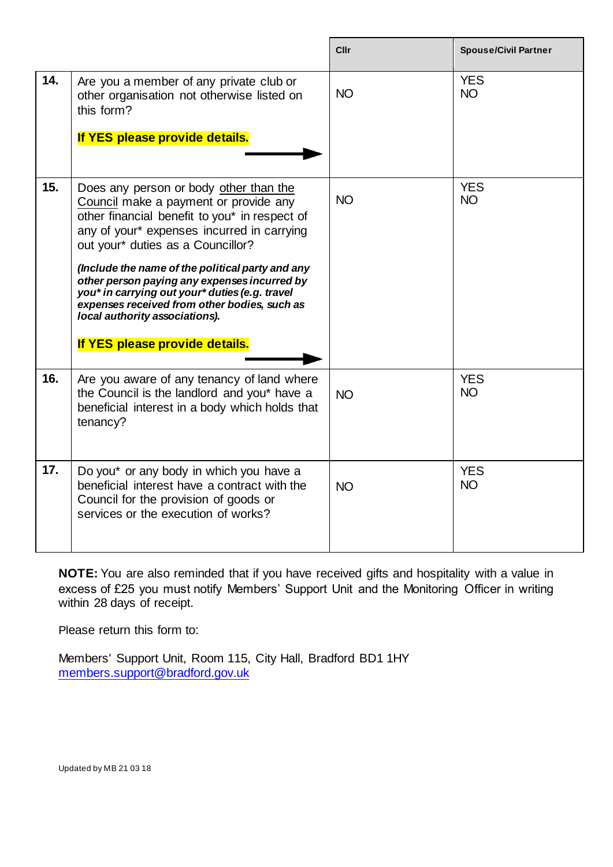|     |                                                                                                                                                                                                                                                                                                                                                                                                                                                                                               | Cllr      | <b>Spouse/Civil Partner</b> |
|-----|-----------------------------------------------------------------------------------------------------------------------------------------------------------------------------------------------------------------------------------------------------------------------------------------------------------------------------------------------------------------------------------------------------------------------------------------------------------------------------------------------|-----------|-----------------------------|
| 14. | Are you a member of any private club or<br>other organisation not otherwise listed on<br>this form?<br>If YES please provide details.                                                                                                                                                                                                                                                                                                                                                         | <b>NO</b> | <b>YES</b><br><b>NO</b>     |
| 15. | Does any person or body other than the<br>Council make a payment or provide any<br>other financial benefit to you* in respect of<br>any of your* expenses incurred in carrying<br>out your* duties as a Councillor?<br>(Include the name of the political party and any<br>other person paying any expenses incurred by<br>you* in carrying out your* duties (e.g. travel<br>expenses received from other bodies, such as<br>local authority associations).<br>If YES please provide details. | <b>NO</b> | <b>YES</b><br><b>NO</b>     |
| 16. | Are you aware of any tenancy of land where<br>the Council is the landlord and you* have a<br>beneficial interest in a body which holds that<br>tenancy?                                                                                                                                                                                                                                                                                                                                       | <b>NO</b> | <b>YES</b><br><b>NO</b>     |
| 17. | Do you* or any body in which you have a<br>beneficial interest have a contract with the<br>Council for the provision of goods or<br>services or the execution of works?                                                                                                                                                                                                                                                                                                                       | <b>NO</b> | <b>YES</b><br><b>NO</b>     |

**NOTE:** You are also reminded that if you have received gifts and hospitality with a value in excess of £25 you must notify Members' Support Unit and the Monitoring Officer in writing within 28 days of receipt.

Please return this form to:

Members' Support Unit, Room 115, City Hall, Bradford BD1 1HY [members.support@bradford.gov.uk](mailto:members.support@bradford.gov.uk)

Updated by MB 21 03 18